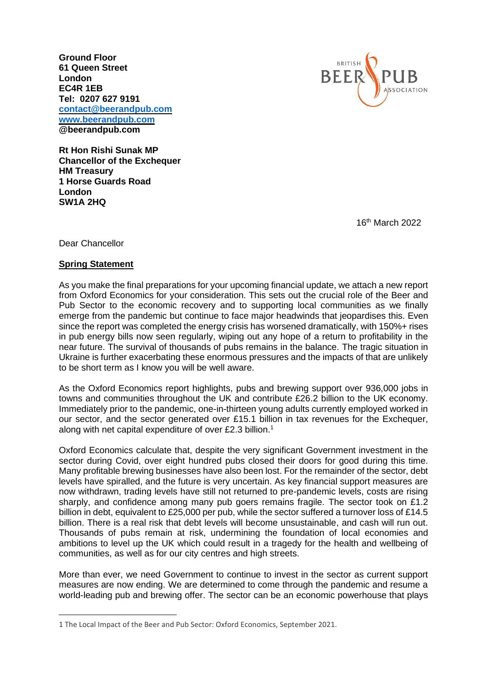**Ground Floor 61 Queen Street London EC4R 1EB Tel: 0207 627 9191 [contact@beerandpub.com](mailto:contact@beerandpub.com) [www.beerandpub.com](http://www.beerandpub.com/) @beerandpub.com**



**Rt Hon Rishi Sunak MP Chancellor of the Exchequer HM Treasury 1 Horse Guards Road London SW1A 2HQ** 

16th March 2022

Dear Chancellor

## **Spring Statement**

As you make the final preparations for your upcoming financial update, we attach a new report from Oxford Economics for your consideration. This sets out the crucial role of the Beer and Pub Sector to the economic recovery and to supporting local communities as we finally emerge from the pandemic but continue to face major headwinds that jeopardises this. Even since the report was completed the energy crisis has worsened dramatically, with 150%+ rises in pub energy bills now seen regularly, wiping out any hope of a return to profitability in the near future. The survival of thousands of pubs remains in the balance. The tragic situation in Ukraine is further exacerbating these enormous pressures and the impacts of that are unlikely to be short term as I know you will be well aware.

As the Oxford Economics report highlights, pubs and brewing support over 936,000 jobs in towns and communities throughout the UK and contribute £26.2 billion to the UK economy. Immediately prior to the pandemic, one-in-thirteen young adults currently employed worked in our sector, and the sector generated over £15.1 billion in tax revenues for the Exchequer, along with net capital expenditure of over £2.3 billion.<sup>1</sup>

Oxford Economics calculate that, despite the very significant Government investment in the sector during Covid, over eight hundred pubs closed their doors for good during this time. Many profitable brewing businesses have also been lost. For the remainder of the sector, debt levels have spiralled, and the future is very uncertain. As key financial support measures are now withdrawn, trading levels have still not returned to pre-pandemic levels, costs are rising sharply, and confidence among many pub goers remains fragile. The sector took on £1.2 billion in debt, equivalent to £25,000 per pub, while the sector suffered a turnover loss of £14.5 billion. There is a real risk that debt levels will become unsustainable, and cash will run out. Thousands of pubs remain at risk, undermining the foundation of local economies and ambitions to level up the UK which could result in a tragedy for the health and wellbeing of communities, as well as for our city centres and high streets.

More than ever, we need Government to continue to invest in the sector as current support measures are now ending. We are determined to come through the pandemic and resume a world-leading pub and brewing offer. The sector can be an economic powerhouse that plays

<sup>1</sup> The Local Impact of the Beer and Pub Sector: Oxford Economics, September 2021.